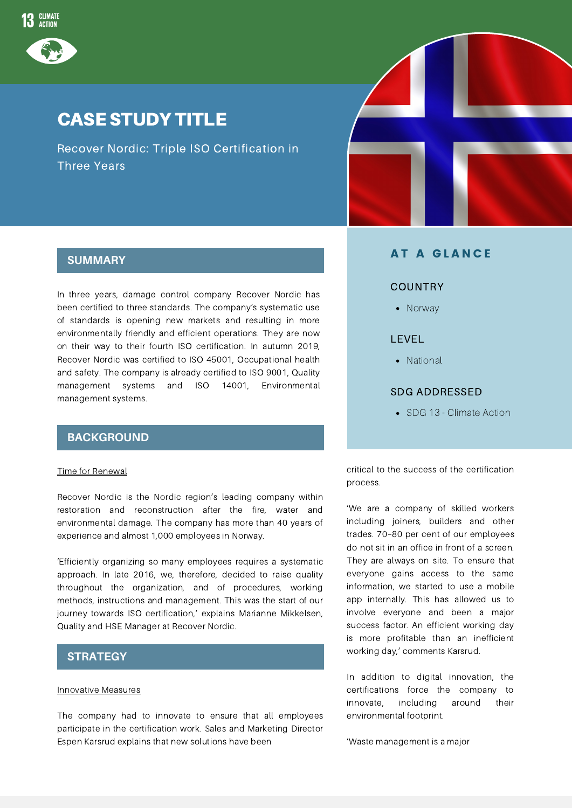

### CASE STUDY TITLE

Recover Nordic: Triple ISO Certification in Three Years



In three years, damage control company Recover Nordic has been certified to three standards. The company's systematic use of standards is opening new markets and resulting in more environmentally friendly and efficient operations. They are now on their way to their fourth ISO certification. In autumn 2019, Recover Nordic was certified to ISO 45001, Occupational health and safety. The company is already certified to ISO 9001, Quality management systems and ISO 14001, Environmental management systems.

#### **BACKGROUND**

#### Time for Renewal

Recover Nordic is the Nordic region's leading company within restoration and reconstruction after the fire, water and environmental damage. The company has more than 40 years of experience and almost 1,000 employees in Norway.

'Efficiently organizing so many employees requires a systematic approach. In late 2016, we, therefore, decided to raise quality throughout the organization, and of procedures, working methods, instructions and management. This was the start of our journey towards ISO certification,' explains Marianne Mikkelsen, Quality and HSE Manager at Recover Nordic.

#### **STRATEGY**

#### Innovative Measures

The company had to innovate to ensure that all employees participate in the certification work. Sales and Marketing Director Espen Karsrud explains that new solutions have been



#### **AT A GLANCE**

#### **COUNTRY**

• Norway

#### LEVEL

• National

#### SDG ADDRESSED

• SDG 13 - Climate Action

critical to the success of the certification process.

'We are a company of skilled workers including joiners, builders and other trades. 70–80 per cent of our employees do not sit in an office in front of a screen. They are always on site. To ensure that everyone gains access to the same information, we started to use a mobile app internally. This has allowed us to involve everyone and been a major success factor. An efficient working day is more profitable than an inefficient working day,' comments Karsrud.

In addition to digital innovation, the certifications force the company to innovate, including around their environmental footprint.

'Waste management is a major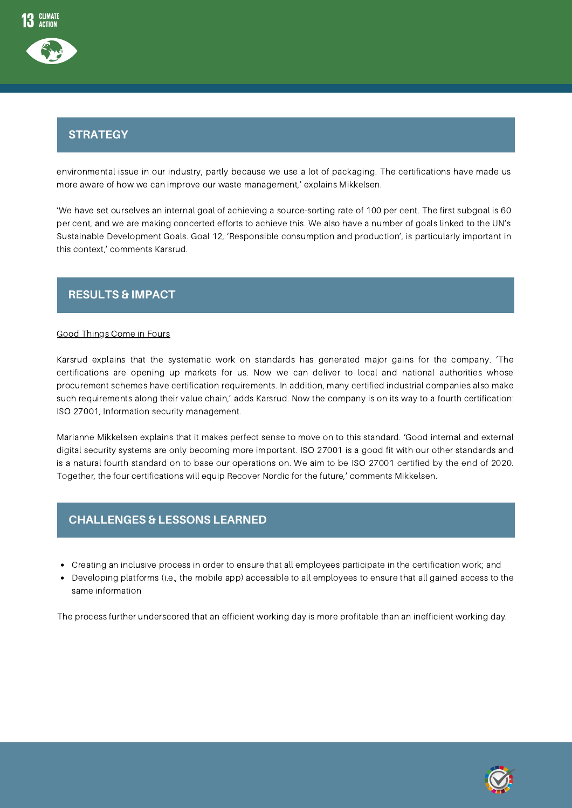# Strategy **STRATEGY**

environmental issue in our industry, partly because we use a lot of packaging. The certifications have made us more aware of how we can improve our waste management,' explains Mikkelsen.

'We have set ourselves an internal goal of achieving a source-sorting rate of 100 per cent. The first subgoal is 60 per cent, and we are making concerted efforts to achieve this. We also have a number of goals linked to the UN's Sustainable Development Goals. Goal 12, 'Responsible consumption and production', is particularly important in this context,' comments Karsrud.

### **RESULTS & IMPACT**

#### Good Things Come in Fours

Karsrud explains that the systematic work on standards has generated major gains for the company. 'The certifications are opening up markets for us. Now we can deliver to local and national authorities whose procurement schemes have certification requirements. In addition, many certified industrial companies also make such requirements along their value chain,' adds Karsrud. Now the company is on its way to a fourth certification: ISO 27001, Information security management.

Marianne Mikkelsen explains that it makes perfect sense to move on to this standard. 'Good internal and external digital security systems are only becoming more important. ISO 27001 is a good fit with our other standards and is a natural fourth standard on to base our operations on. We aim to be ISO 27001 certified by the end of 2020. Together, the four certifications will equip Recover Nordic for the future,' comments Mikkelsen.

# Strategy **CHALLENGES & LESSONS LEARNED**

- Creating an inclusive process in order to ensure that all employees participate in the certification work; and
- Developing platforms (i.e., the mobile app) accessible to all employees to ensure that all gained access to the same information

The process further underscored that an efficient working day is more profitable than an inefficient working day.